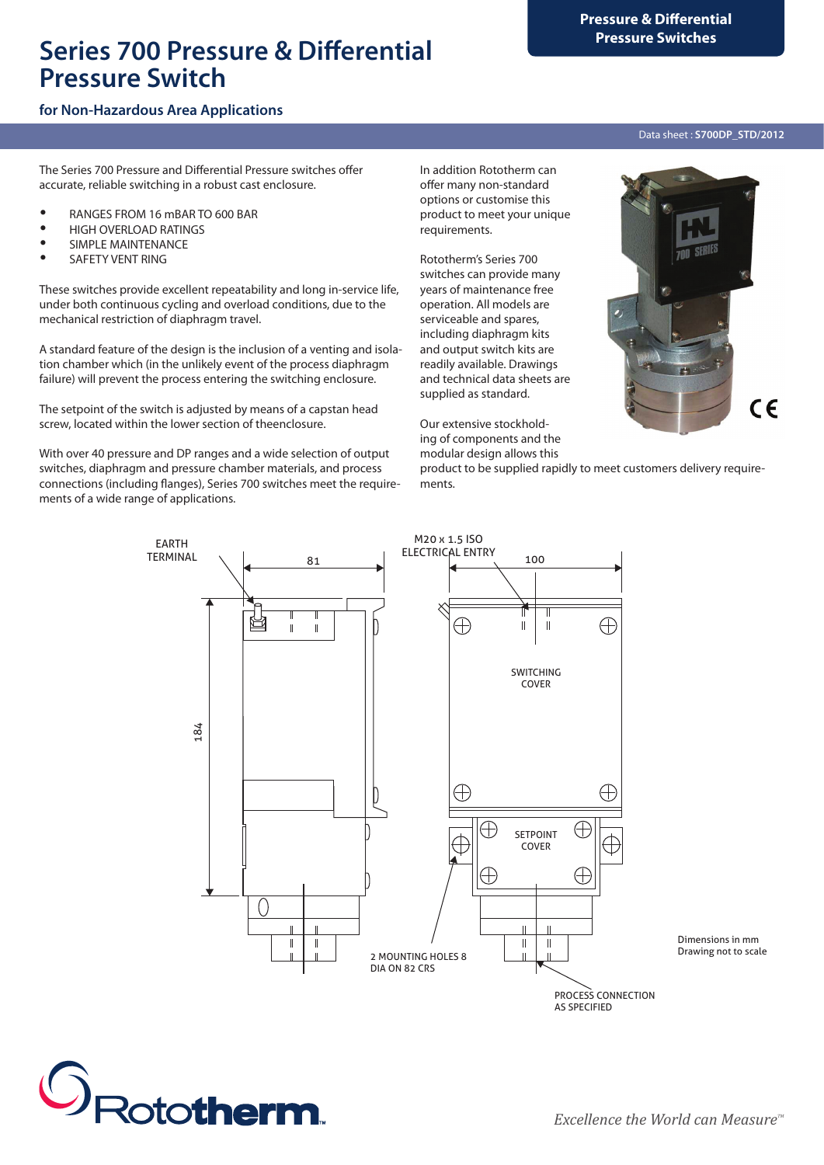# **Pressure Switches Series 700 Pressure & Differential Pressure Switch**

# **for Non-Hazardous Area Applications**

The Series 700 Pressure and Differential Pressure switches offer accurate, reliable switching in a robust cast enclosure.

- y RANGES FROM 16 mBAR TO 600 BAR
- HIGH OVERLOAD RATINGS
- SIMPLE MAINTENANCE
- SAFETY VENT RING

These switches provide excellent repeatability and long in-service life, under both continuous cycling and overload conditions, due to the mechanical restriction of diaphragm travel.

A standard feature of the design is the inclusion of a venting and isolation chamber which (in the unlikely event of the process diaphragm failure) will prevent the process entering the switching enclosure.

The setpoint of the switch is adjusted by means of a capstan head screw, located within the lower section of theenclosure.

With over 40 pressure and DP ranges and a wide selection of output switches, diaphragm and pressure chamber materials, and process connections (including flanges), Series 700 switches meet the requirements of a wide range of applications.

In addition Rototherm can offer many non-standard options or customise this product to meet your unique requirements.

Rototherm's Series 700 switches can provide many years of maintenance free operation. All models are serviceable and spares, including diaphragm kits and output switch kits are readily available. Drawings and technical data sheets are supplied as standard.

Our extensive stockholding of components and the modular design allows this

product to be supplied rapidly to meet customers delivery requirements.



Dimensions in mm Drawing not to scale



*Excellence the World can Measure*<sup>™</sup>

AS SPECIFIED

#### Data sheet : **S700DP\_STD/2012**

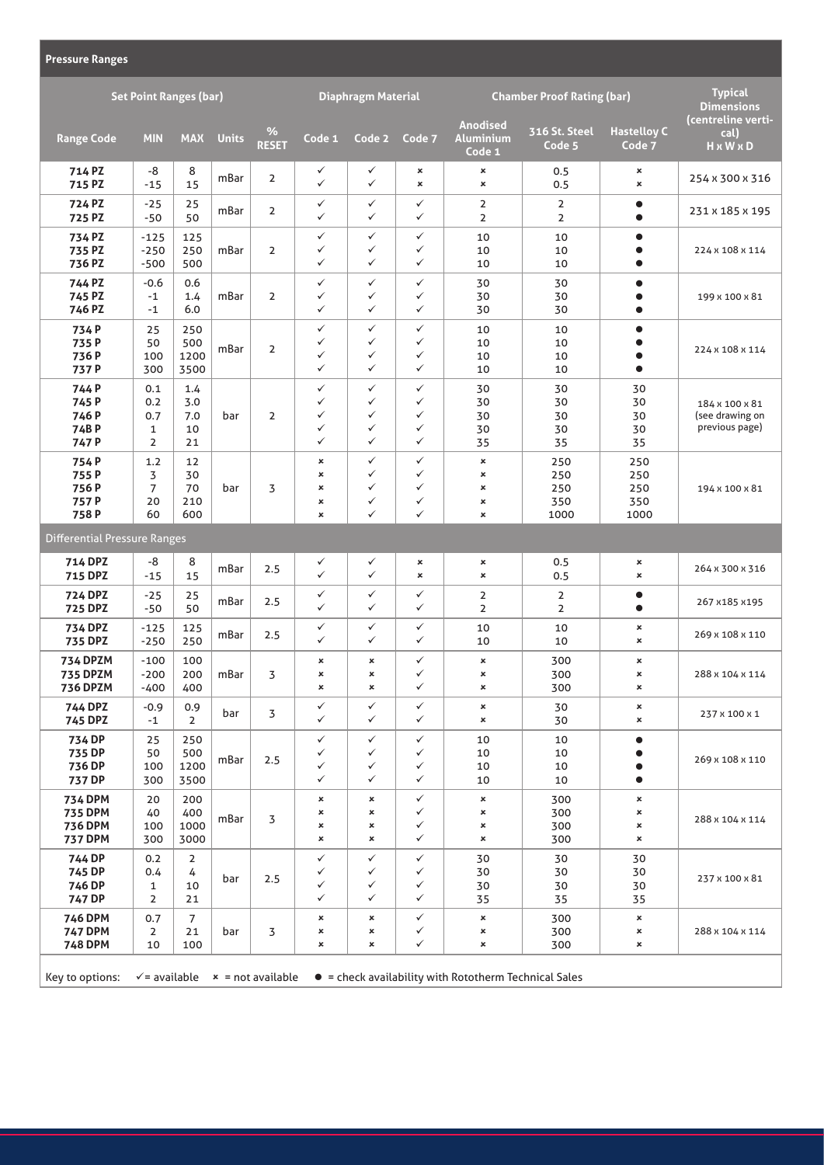| <b>Pressure Ranges</b>                                                                                                            |                                                     |                                 |              |                           |                                             |                                                                   |                                                              |                                                                           |                                  |                                                           |                                                     |
|-----------------------------------------------------------------------------------------------------------------------------------|-----------------------------------------------------|---------------------------------|--------------|---------------------------|---------------------------------------------|-------------------------------------------------------------------|--------------------------------------------------------------|---------------------------------------------------------------------------|----------------------------------|-----------------------------------------------------------|-----------------------------------------------------|
| <b>Set Point Ranges (bar)</b>                                                                                                     |                                                     |                                 |              | <b>Diaphragm Material</b> |                                             |                                                                   | <b>Chamber Proof Rating (bar)</b>                            |                                                                           |                                  | <b>Typical</b><br><b>Dimensions</b><br>(centreline verti- |                                                     |
| <b>Range Code</b>                                                                                                                 | <b>MIN</b>                                          | <b>MAX</b>                      | <b>Units</b> | $\%$<br><b>RESET</b>      | Code 1                                      | Code 2                                                            | Code 7                                                       | <b>Anodised</b><br><b>Aluminium</b><br>Code 1                             | 316 St. Steel<br>Code 5          | <b>Hastelloy C</b><br>Code 7                              | cal)<br>H x W x D                                   |
| 714 PZ<br>715 PZ                                                                                                                  | -8<br>$-15$                                         | 8<br>15                         | mBar         | $\overline{2}$            | ✓<br>$\checkmark$                           | ✓<br>$\checkmark$                                                 | ×<br>$\pmb{\times}$                                          | $\pmb{\times}$<br>$\pmb{\times}$                                          | 0.5<br>0.5                       | ×<br>$\pmb{\times}$                                       | 254 x 300 x 316                                     |
| 724 PZ<br>725 PZ                                                                                                                  | $-25$<br>$-50$                                      | 25<br>50                        | mBar         | $\overline{2}$            | ✓<br>$\checkmark$                           | ✓<br>$\checkmark$                                                 | $\checkmark$<br>$\checkmark$                                 | $\overline{2}$<br>$\overline{2}$                                          | 2<br>$\overline{2}$              | $\bullet$<br>$\bullet$                                    | 231 x 185 x 195                                     |
| 734 PZ<br>735 PZ<br>736 PZ                                                                                                        | $-125$<br>$-250$<br>$-500$                          | 125<br>250<br>500               | mBar         | $\overline{2}$            | ✓<br>✓<br>✓                                 | $\checkmark$<br>✓<br>✓                                            | $\checkmark$<br>$\checkmark$<br>$\checkmark$                 | 10<br>10<br>10                                                            | 10<br>10<br>10                   | $\bullet$<br>$\bullet$                                    | 224 x 108 x 114                                     |
| 744 PZ<br>745 PZ<br>746 PZ                                                                                                        | $-0.6$<br>$-1$<br>$-1$                              | 0.6<br>1.4<br>6.0               | mBar         | $\overline{2}$            | $\checkmark$<br>✓<br>$\checkmark$           | $\checkmark$<br>✓<br>$\checkmark$                                 | $\checkmark$<br>✓<br>$\checkmark$                            | 30<br>30<br>30                                                            | 30<br>30<br>30                   | $\bullet$<br>$\bullet$                                    | 199 x 100 x 81                                      |
| 734P<br>735 P<br>736 P<br>737 P                                                                                                   | 25<br>50<br>100<br>300                              | 250<br>500<br>1200<br>3500      | mBar         | $\overline{2}$            | $\checkmark$<br>✓<br>✓<br>$\checkmark$      | $\checkmark$<br>✓<br>✓<br>$\checkmark$                            | $\checkmark$<br>$\checkmark$<br>✓<br>$\checkmark$            | 10<br>10<br>10<br>10                                                      | 10<br>10<br>10<br>10             | $\bullet$<br>$\bullet$                                    | 224 x 108 x 114                                     |
| 744 P<br>745 P<br>746 P<br>74BP<br>747 P                                                                                          | 0.1<br>0.2<br>0.7<br>$\mathbf{1}$<br>$\overline{2}$ | 1.4<br>3.0<br>7.0<br>10<br>21   | bar          | $\overline{2}$            | $\checkmark$<br>✓<br>✓<br>✓<br>$\checkmark$ | $\checkmark$<br>$\checkmark$<br>$\checkmark$<br>✓<br>$\checkmark$ | $\checkmark$<br>$\checkmark$<br>✓<br>✓<br>$\checkmark$       | 30<br>30<br>30<br>30<br>35                                                | 30<br>30<br>30<br>30<br>35       | 30<br>30<br>30<br>30<br>35                                | 184 x 100 x 81<br>(see drawing on<br>previous page) |
| 754P<br>755P<br>756P<br>757 P<br>758P                                                                                             | 1.2<br>3<br>$\overline{7}$<br>20<br>60              | 12<br>30<br>70<br>210<br>600    | bar          | 3                         | ×<br>×<br>×<br>×<br>×                       | $\checkmark$<br>$\checkmark$<br>✓<br>$\checkmark$<br>$\checkmark$ | $\checkmark$<br>✓<br>✓<br>✓<br>$\checkmark$                  | $\pmb{\times}$<br>$\pmb{\times}$<br>×<br>$\pmb{\times}$<br>$\pmb{\times}$ | 250<br>250<br>250<br>350<br>1000 | 250<br>250<br>250<br>350<br>1000                          | 194 x 100 x 81                                      |
| <b>Differential Pressure Ranges</b>                                                                                               |                                                     |                                 |              |                           |                                             |                                                                   |                                                              |                                                                           |                                  |                                                           |                                                     |
| <b>714 DPZ</b><br><b>715 DPZ</b>                                                                                                  | -8<br>$-15$                                         | 8<br>15                         | mBar         | 2.5                       | ✓<br>$\checkmark$                           | ✓<br>$\checkmark$                                                 | ×<br>×                                                       | ×<br>$\pmb{\times}$                                                       | 0.5<br>0.5                       | ×<br>×                                                    | 264 x 300 x 316                                     |
| <b>724 DPZ</b><br><b>725 DPZ</b>                                                                                                  | $-25$<br>$-50$                                      | 25<br>50                        | mBar         | 2.5                       | ✓<br>$\checkmark$                           | $\checkmark$<br>$\checkmark$                                      | $\checkmark$<br>$\checkmark$                                 | $\overline{2}$<br>$\overline{2}$                                          | $\overline{2}$<br>$\overline{2}$ | $\bullet$<br>$\bullet$                                    | 267 x185 x195                                       |
| <b>734 DPZ</b><br><b>735 DPZ</b>                                                                                                  | $-125$<br>$-250$                                    | 125<br>250                      | mBar         | 2.5                       | ✓<br>$\checkmark$                           | $\checkmark$<br>$\checkmark$                                      | $\checkmark$<br>$\checkmark$                                 | 10<br>10                                                                  | 10<br>10                         | ×<br>×                                                    | 269 x 108 x 110                                     |
| <b>734 DPZM</b><br><b>735 DPZM</b><br><b>736 DPZM</b>                                                                             | $-100$<br>$-200$<br>-400                            | 100<br>200<br>400               | mBar         | 3                         | ×<br>×<br>×                                 | $\pmb{\times}$<br>×<br>$\pmb{\times}$                             | $\checkmark$<br>✓<br>$\checkmark$                            | ×<br>×<br>×                                                               | 300<br>300<br>300                | ×<br>×<br>×                                               | 288 x 104 x 114                                     |
| <b>744 DPZ</b><br><b>745 DPZ</b>                                                                                                  | $-0.9$<br>$-1$                                      | 0.9<br>2                        | bar          | 3                         | ✓<br>✓                                      | ✓<br>$\checkmark$                                                 | $\checkmark$<br>$\checkmark$                                 | ×<br>×                                                                    | 30<br>30                         | ×<br>×                                                    | 237 x 100 x 1                                       |
| 734 DP<br>735 DP<br>736 DP<br>737 DP                                                                                              | 25<br>50<br>100<br>300                              | 250<br>500<br>1200<br>3500      | mBar         | 2.5                       | ✓<br>✓<br>✓<br>✓                            | ✓<br>✓<br>✓<br>$\checkmark$                                       | $\checkmark$<br>$\checkmark$<br>$\checkmark$<br>$\checkmark$ | 10<br>10<br>10<br>10                                                      | 10<br>10<br>10<br>10             | $\bullet$<br>$\bullet$                                    | 269 x 108 x 110                                     |
| <b>734 DPM</b><br><b>735 DPM</b><br><b>736 DPM</b><br><b>737 DPM</b>                                                              | 20<br>40<br>100<br>300                              | 200<br>400<br>1000<br>3000      | mBar         | 3                         | ×<br>×<br>×<br>×                            | $\pmb{\times}$<br>$\pmb{\times}$<br>×<br>×                        | $\checkmark$<br>✓<br>✓<br>$\checkmark$                       | $\pmb{\times}$<br>$\pmb{\times}$<br>×<br>×                                | 300<br>300<br>300<br>300         | ×<br>×<br>×<br>×                                          | 288 x 104 x 114                                     |
| 744 DP<br>745 DP<br>746 DP<br>747 DP                                                                                              | 0.2<br>0.4<br>1<br>$\overline{2}$                   | $\overline{2}$<br>4<br>10<br>21 | bar          | 2.5                       | ✓<br>✓<br>✓<br>✓                            | ✓<br>✓<br>✓<br>✓                                                  | ✓<br>✓<br>$\checkmark$<br>$\checkmark$                       | 30<br>30<br>30<br>35                                                      | 30<br>30<br>30<br>35             | 30<br>30<br>30<br>35                                      | 237 x 100 x 81                                      |
| <b>746 DPM</b><br><b>747 DPM</b><br><b>748 DPM</b>                                                                                | 0.7<br>$\overline{2}$<br>10                         | 7<br>21<br>100                  | bar          | 3                         | ×<br>×<br>×                                 | $\pmb{\times}$<br>×<br>×                                          | $\checkmark$<br>✓<br>$\checkmark$                            | ×<br>$\pmb{\times}$<br>$\pmb{\times}$                                     | 300<br>300<br>300                | $\pmb{\times}$<br>×<br>×                                  | 288 x 104 x 114                                     |
| Key to options:<br>$\checkmark$ = available $\checkmark$ = not available<br>• = check availability with Rototherm Technical Sales |                                                     |                                 |              |                           |                                             |                                                                   |                                                              |                                                                           |                                  |                                                           |                                                     |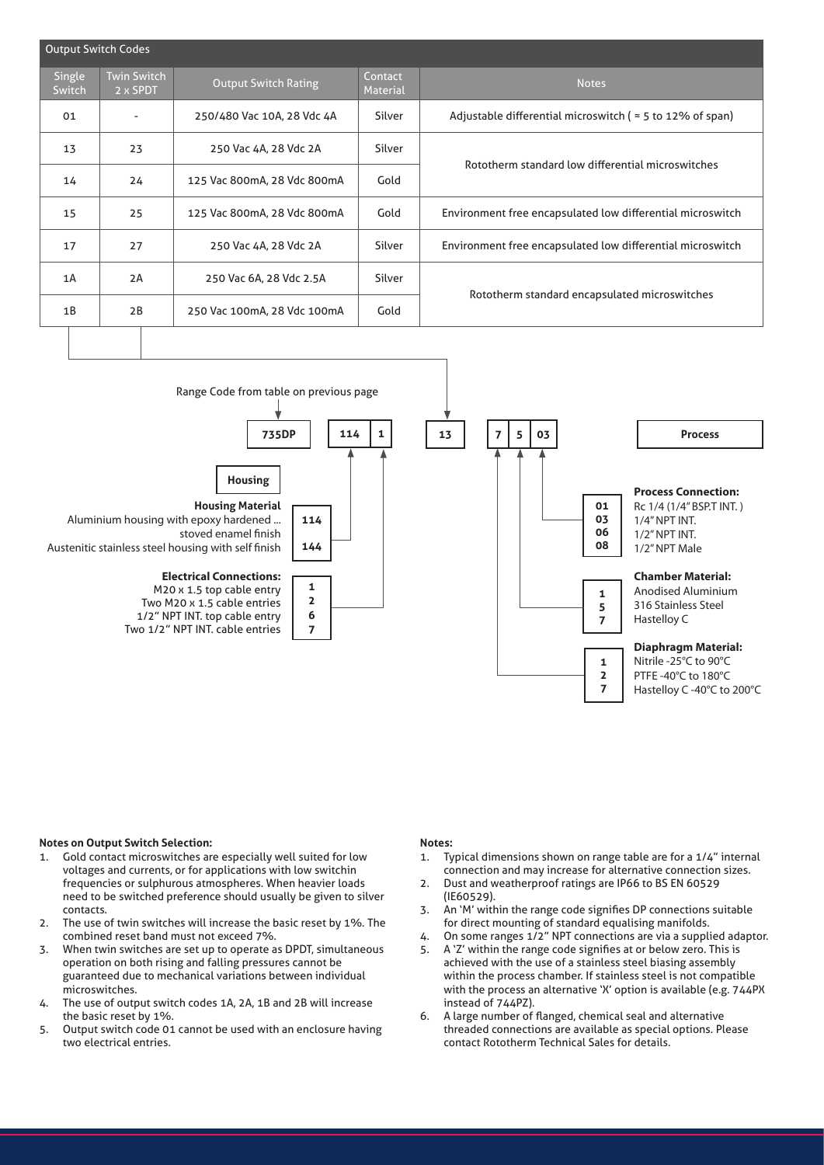| Output Switch Codes |                                |                             |                            |                                                                   |  |  |  |  |  |
|---------------------|--------------------------------|-----------------------------|----------------------------|-------------------------------------------------------------------|--|--|--|--|--|
| Single<br>Switch    | <b>Twin Switch</b><br>2 x SPDT | <b>Output Switch Rating</b> | Contact<br><b>Material</b> | <b>Notes</b>                                                      |  |  |  |  |  |
| 01                  |                                | 250/480 Vac 10A, 28 Vdc 4A  | Silver                     | Adjustable differential microswitch ( $\approx$ 5 to 12% of span) |  |  |  |  |  |
| 13                  | 23                             | 250 Vac 4A, 28 Vdc 2A       | Silver                     | Rototherm standard low differential microswitches                 |  |  |  |  |  |
| 14                  | 24                             | 125 Vac 800mA, 28 Vdc 800mA | Gold                       |                                                                   |  |  |  |  |  |
| 15                  | 25                             | 125 Vac 800mA, 28 Vdc 800mA | Gold                       | Environment free encapsulated low differential microswitch        |  |  |  |  |  |
| 17                  | 27                             | 250 Vac 4A, 28 Vdc 2A       | Silver                     | Environment free encapsulated low differential microswitch        |  |  |  |  |  |
| 1A                  | 2A                             | 250 Vac 6A, 28 Vdc 2.5A     | Silver                     |                                                                   |  |  |  |  |  |
| 1B                  | 2B                             | 250 Vac 100mA, 28 Vdc 100mA | Gold                       | Rototherm standard encapsulated microswitches                     |  |  |  |  |  |
|                     |                                |                             |                            |                                                                   |  |  |  |  |  |



# **Notes on Output Switch Selection:**

- 1. Gold contact microswitches are especially well suited for low voltages and currents, or for applications with low switchin frequencies or sulphurous atmospheres. When heavier loads need to be switched preference should usually be given to silver contacts.
- 2. The use of twin switches will increase the basic reset by 1%. The combined reset band must not exceed 7%.
- 3. When twin switches are set up to operate as DPDT, simultaneous operation on both rising and falling pressures cannot be guaranteed due to mechanical variations between individual microswitches.
- 4. The use of output switch codes 1A, 2A, 1B and 2B will increase the basic reset by 1%.
- 5. Output switch code 01 cannot be used with an enclosure having two electrical entries.

# **Notes:**

- 1. Typical dimensions shown on range table are for a 1/4" internal connection and may increase for alternative connection sizes.
- 2. Dust and weatherproof ratings are IP66 to BS EN 60529 (IE60529).
- 3. An 'M' within the range code signifies DP connections suitable for direct mounting of standard equalising manifolds.
- 4. On some ranges 1/2" NPT connections are via a supplied adaptor.
- 5. A 'Z' within the range code signifies at or below zero. This is achieved with the use of a stainless steel biasing assembly within the process chamber. If stainless steel is not compatible with the process an alternative 'X' option is available (e.g. 744PX instead of 744PZ).
- 6. A large number of flanged, chemical seal and alternative threaded connections are available as special options. Please contact Rototherm Technical Sales for details.